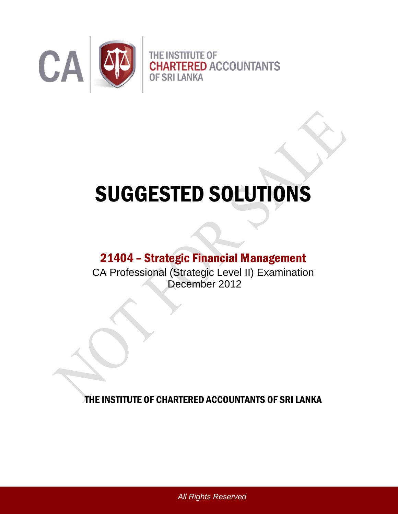

# SUGGESTED SOLUTIONS

## 21404 – Strategic Financial Management

CA Professional (Strategic Level II) Examination December 2012

THE INSTITUTE OF CHARTERED ACCOUNTANTS OF SRI LANKA

*All Rights Reserved*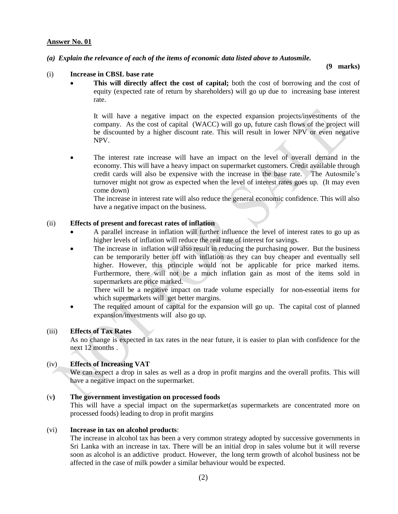#### *(a) Explain the relevance of each of the items of economic data listed above to Autosmile.*

**(9 marks)**

#### (i) **Increase in CBSL base rate**

 **This will directly affect the cost of capital;** both the cost of borrowing and the cost of equity (expected rate of return by shareholders) will go up due to increasing base interest rate.

It will have a negative impact on the expected expansion projects/investments of the company. As the cost of capital (WACC) will go up, future cash flows of the project will be discounted by a higher discount rate. This will result in lower NPV or even negative NPV.

 The interest rate increase will have an impact on the level of overall demand in the economy. This will have a heavy impact on supermarket customers. Credit available through credit cards will also be expensive with the increase in the base rate. The Autosmile"s turnover might not grow as expected when the level of interest rates goes up. (It may even come down)

The increase in interest rate will also reduce the general economic confidence. This will also have a negative impact on the business.

#### (ii) **Effects of present and forecast rates of inflation**

- A parallel increase in inflation will further influence the level of interest rates to go up as higher levels of inflation will reduce the real rate of interest for savings.
- The increase in inflation will also result in reducing the purchasing power. But the business can be temporarily better off with inflation as they can buy cheaper and eventually sell higher. However, this principle would not be applicable for price marked items. Furthermore, there will not be a much inflation gain as most of the items sold in supermarkets are price marked.

There will be a negative impact on trade volume especially for non-essential items for which supermarkets will get better margins.

• The required amount of capital for the expansion will go up. The capital cost of planned expansion/investments will also go up.

#### (iii) **Effects of Tax Rates**

As no change is expected in tax rates in the near future, it is easier to plan with confidence for the next 12 months .

#### (iv) **Effects of Increasing VAT**

We can expect a drop in sales as well as a drop in profit margins and the overall profits. This will have a negative impact on the supermarket.

#### (v**) The government investigation on processed foods**

This will have a special impact on the supermarket(as supermarkets are concentrated more on processed foods) leading to drop in profit margins

#### (vi) **Increase in tax on alcohol products**:

The increase in alcohol tax has been a very common strategy adopted by successive governments in Sri Lanka with an increase in tax. There will be an initial drop in sales volume but it will reverse soon as alcohol is an addictive product. However, the long term growth of alcohol business not be affected in the case of milk powder a similar behaviour would be expected.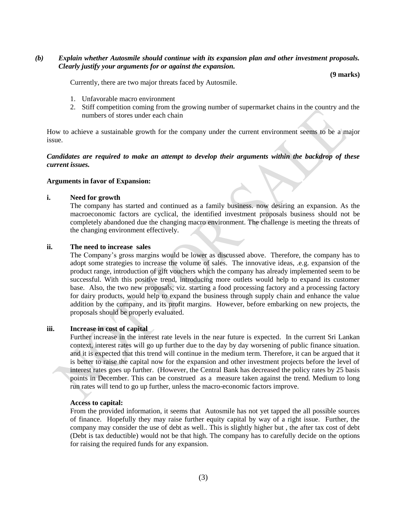#### *(b) Explain whether Autosmile should continue with its expansion plan and other investment proposals. Clearly justify your arguments for or against the expansion.*

**(9 marks)**

Currently, there are two major threats faced by Autosmile.

- 1. Unfavorable macro environment
- 2. Stiff competition coming from the growing number of supermarket chains in the country and the numbers of stores under each chain

How to achieve a sustainable growth for the company under the current environment seems to be a major issue.

#### *Candidates are required to make an attempt to develop their arguments within the backdrop of these current issues.*

#### **Arguments in favor of Expansion:**

#### **i. Need for growth**

The company has started and continued as a family business. now desiring an expansion. As the macroeconomic factors are cyclical, the identified investment proposals business should not be completely abandoned due the changing macro environment. The challenge is meeting the threats of the changing environment effectively.

#### **ii. The need to increase sales**

The Company"s gross margins would be lower as discussed above. Therefore, the company has to adopt some strategies to increase the volume of sales. The innovative ideas, .e.g. expansion of the product range, introduction of gift vouchers which the company has already implemented seem to be successful. With this positive trend, introducing more outlets would help to expand its customer base. Also, the two new proposals; viz. starting a food processing factory and a processing factory for dairy products, would help to expand the business through supply chain and enhance the value addition by the company, and its profit margins. However, before embarking on new projects, the proposals should be properly evaluated.

#### **iii. Increase in cost of capital**

Further increase in the interest rate levels in the near future is expected. In the current Sri Lankan context, interest rates will go up further due to the day by day worsening of public finance situation. and it is expected that this trend will continue in the medium term. Therefore, it can be argued that it is better to raise the capital now for the expansion and other investment projects before the level of interest rates goes up further. (However, the Central Bank has decreased the policy rates by 25 basis points in December. This can be construed as a measure taken against the trend. Medium to long run rates will tend to go up further, unless the macro-economic factors improve.

#### **Access to capital:**

From the provided information, it seems that Autosmile has not yet tapped the all possible sources of finance. Hopefully they may raise further equity capital by way of a right issue. Further, the company may consider the use of debt as well.. This is slightly higher but , the after tax cost of debt (Debt is tax deductible) would not be that high. The company has to carefully decide on the options for raising the required funds for any expansion.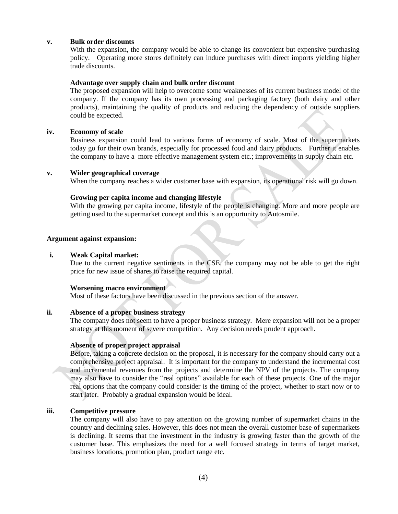#### **v. Bulk order discounts**

With the expansion, the company would be able to change its convenient but expensive purchasing policy. Operating more stores definitely can induce purchases with direct imports yielding higher trade discounts.

#### **Advantage over supply chain and bulk order discount**

The proposed expansion will help to overcome some weaknesses of its current business model of the company. If the company has its own processing and packaging factory (both dairy and other products), maintaining the quality of products and reducing the dependency of outside suppliers could be expected.

#### **iv. Economy of scale**

Business expansion could lead to various forms of economy of scale. Most of the supermarkets today go for their own brands, especially for processed food and dairy products. Further it enables the company to have a more effective management system etc.; improvements in supply chain etc.

#### **v. Wider geographical coverage**

When the company reaches a wider customer base with expansion, its operational risk will go down.

#### **Growing per capita income and changing lifestyle**

With the growing per capita income, lifestyle of the people is changing. More and more people are getting used to the supermarket concept and this is an opportunity to Autosmile.

#### **Argument against expansion:**

#### **i. Weak Capital market:**

Due to the current negative sentiments in the CSE, the company may not be able to get the right price for new issue of shares to raise the required capital.

#### **Worsening macro environment**

Most of these factors have been discussed in the previous section of the answer.

#### **ii. Absence of a proper business strategy**

The company does not seem to have a proper business strategy. Mere expansion will not be a proper strategy at this moment of severe competition. Any decision needs prudent approach.

#### **Absence of proper project appraisal**

Before, taking a concrete decision on the proposal, it is necessary for the company should carry out a comprehensive project appraisal. It is important for the company to understand the incremental cost and incremental revenues from the projects and determine the NPV of the projects. The company may also have to consider the "real options" available for each of these projects. One of the major real options that the company could consider is the timing of the project, whether to start now or to start later. Probably a gradual expansion would be ideal.

#### **iii. Competitive pressure**

The company will also have to pay attention on the growing number of supermarket chains in the country and declining sales. However, this does not mean the overall customer base of supermarkets is declining. It seems that the investment in the industry is growing faster than the growth of the customer base. This emphasizes the need for a well focused strategy in terms of target market, business locations, promotion plan, product range etc.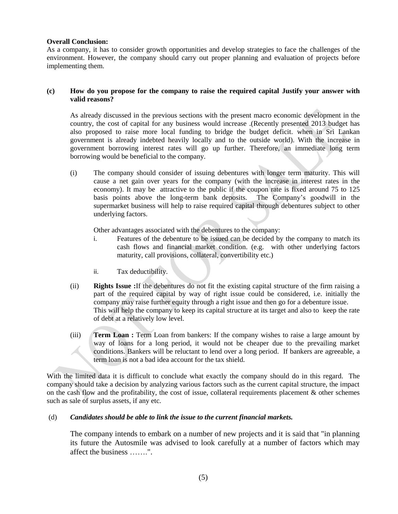#### **Overall Conclusion:**

As a company, it has to consider growth opportunities and develop strategies to face the challenges of the environment. However, the company should carry out proper planning and evaluation of projects before implementing them.

#### **(c) How do you propose for the company to raise the required capital Justify your answer with valid reasons?**

As already discussed in the previous sections with the present macro economic development in the country, the cost of capital for any business would increase .(Recently presented 2013 budget has also proposed to raise more local funding to bridge the budget deficit. when in Sri Lankan government is already indebted heavily locally and to the outside world). With the increase in government borrowing interest rates will go up further. Therefore, an immediate long term borrowing would be beneficial to the company.

(i) The company should consider of issuing debentures with longer term maturity. This will cause a net gain over years for the company (with the increase in interest rates in the economy). It may be attractive to the public if the coupon rate is fixed around 75 to 125 basis points above the long-term bank deposits. The Company"s goodwill in the supermarket business will help to raise required capital through debentures subject to other underlying factors.

Other advantages associated with the debentures to the company:

- i. Features of the debenture to be issued can be decided by the company to match its cash flows and financial market condition. (e.g. with other underlying factors maturity, call provisions, collateral, convertibility etc.)
- ii. Tax deductibility.
- (ii) **Rights Issue :**If the debentures do not fit the existing capital structure of the firm raising a part of the required capital by way of right issue could be considered, i.e. initially the company may raise further equity through a right issue and then go for a debenture issue. This will help the company to keep its capital structure at its target and also to keep the rate of debt at a relatively low level.
- (iii) **Term Loan :** Term Loan from bankers: If the company wishes to raise a large amount by way of loans for a long period, it would not be cheaper due to the prevailing market conditions. Bankers will be reluctant to lend over a long period. If bankers are agreeable, a term loan is not a bad idea account for the tax shield.

With the limited data it is difficult to conclude what exactly the company should do in this regard. The company should take a decision by analyzing various factors such as the current capital structure, the impact on the cash flow and the profitability, the cost of issue, collateral requirements placement  $\&$  other schemes such as sale of surplus assets, if any etc.

#### (d) *Candidates should be able to link the issue to the current financial markets.*

The company intends to embark on a number of new projects and it is said that "in planning its future the Autosmile was advised to look carefully at a number of factors which may affect the business …….".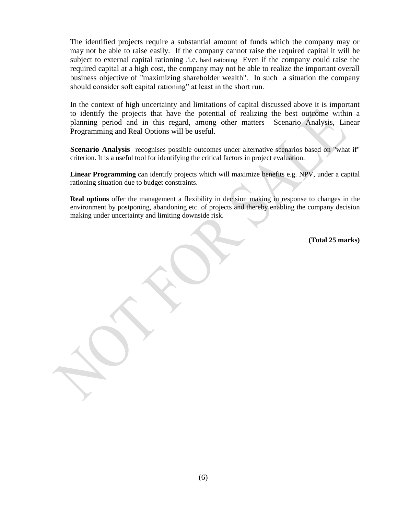The identified projects require a substantial amount of funds which the company may or may not be able to raise easily. If the company cannot raise the required capital it will be subject to external capital rationing .i.e. hard rationing Even if the company could raise the required capital at a high cost, the company may not be able to realize the important overall business objective of "maximizing shareholder wealth". In such a situation the company should consider soft capital rationing" at least in the short run.

In the context of high uncertainty and limitations of capital discussed above it is important to identify the projects that have the potential of realizing the best outcome within a planning period and in this regard, among other matters Scenario Analysis, Linear Programming and Real Options will be useful.

**Scenario Analysis** recognises possible outcomes under alternative scenarios based on "what if" criterion. It is a useful tool for identifying the critical factors in project evaluation.

**Linear Programming** can identify projects which will maximize benefits e.g. NPV, under a capital rationing situation due to budget constraints.

**Real options** offer the management a flexibility in decision making in response to changes in the environment by postponing, abandoning etc. of projects and thereby enabling the company decision making under uncertainty and limiting downside risk.

**(Total 25 marks)**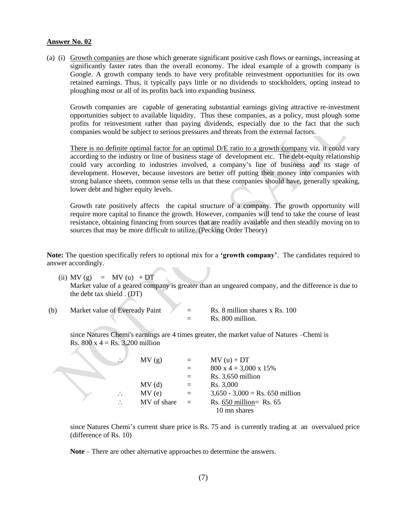**All Contracts** 

(a) (i) Growth companies are those which generate significant positive cash flows or earnings, increasing at significantly faster rates than the overall economy. The ideal example of a growth company is Google. A growth company tends to have very profitable reinvestment opportunities for its own retained earnings. Thus, it typically pays little or no dividends to stockholders, opting instead to ploughing most or all of its profits back into expanding business.

Growth companies are capable of generating substantial earnings giving attractive re-investment opportunities subject to available liquidity. Thus these companies, as a policy, must plough some profits for reinvestment rather than paying dividends, especially due to the fact that the such companies would be subject to serious pressures and threats from the external factors.

There is no definite optimal factor for an optimal D/E ratio to a growth company viz. it could vary according to the industry or line of business stage of development etc. The debt-equity relationship could vary according to industries involved, a company"s line of business and its stage of development. However, because investors are better off putting their money into companies with strong balance sheets, common sense tells us that these companies should have, generally speaking, lower debt and higher equity levels.

Growth rate positively affects the capital structure of a company. The growth opportunity will require more capital to finance the growth. However, companies will tend to take the course of least resistance, obtaining financing from sources that are readily available and then steadily moving on to sources that may be more difficult to utilize. (Pecking Order Theory)

**Note:** The question specifically refers to optional mix for a **'growth company'**. The candidates required to answer accordingly.

- (ii) MV (g) = MV (u) + DT Market value of a geared company is greater than an ungeared company, and the difference is due to the debt tax shield . (DT)
- (b) Market value of Eveready Paint  $\angle$  = Rs. 8 million shares x Rs. 100  $=$  Rs. 800 million.

since Natures Chemi's earnings are 4 times greater, the market value of Natures –Chemi is Rs.  $800 \times 4 =$  Rs. 3,200 million

| $\sim$ | MV(g)       | $=$      | $MV(u) + DT$                              |
|--------|-------------|----------|-------------------------------------------|
|        |             |          | $800 \times 4 + 3,000 \times 15\%$        |
|        |             |          | $Rs. 3,650$ million                       |
|        | MV(d)       | $=$      | Rs. 3,000                                 |
|        | MV(e)       | $=$ $-$  | $3,650 - 3,000 = \text{Rs. } 650$ million |
|        | MV of share | $\equiv$ | Rs. $650$ million= Rs. $65$               |
|        |             |          | 10 mn shares                              |

since Natures Chemi"s current share price is Rs. 75 and is currently trading at an overvalued price (difference of Rs. 10)

**Note** – There are other alternative approaches to determine the answers.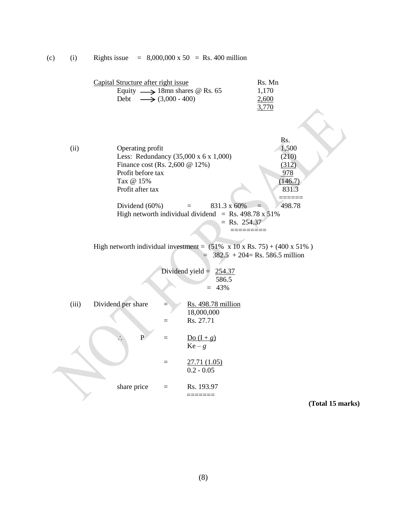Capital Structure after right issue Rs. Mn Equity  $\longrightarrow 18$ mn shares @ Rs. 65 1,170 Debt  $\longrightarrow$  (3,000 - 400) 2,600 3,770 Rs. (ii) Operating profit 1,500 Less: Redundancy (35,000 x 6 x 1,000) (210) Finance cost (Rs. 2,600 @ 12%) (312) Profit before tax 978  $\text{Tax } @ 15\% \tag{146.7}$ Profit after tax 831.3 ====== Dividend (60%)  $=$  831.3 x 60%  $=$  498.78 High networth individual dividend = Rs. 498.78 x  $51\%$  $=$  Rs. 254.37 ========= High networth individual investment =  $(51\% \times 10 \times \text{Rs.} 75) + (400 \times 51\%)$  $=$  382.5 + 204= Rs. 586.5 million Dividend yield = 254.37 586.5  $= 43%$ (iii) Dividend per share  $=$  Rs. 498.78 million 18,000,000  $=$  Rs. 27.71 P =  $\underline{Do (I+g)}$  $Ke - g$  $=$  27.71 (1.05) 0.2 - 0.05 share price  $=$  Rs. 193.97 =======

**(Total 15 marks)**

(c) (i) Rights issue =  $8,000,000 \times 50$  = Rs. 400 million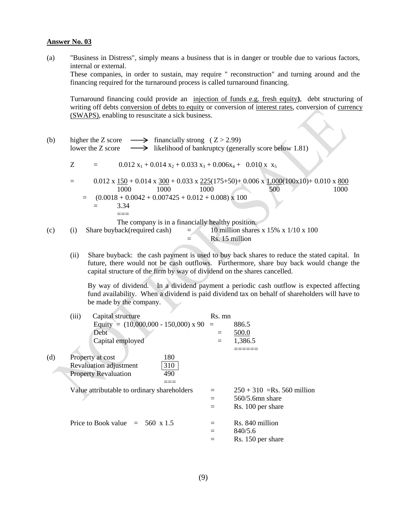(a) "Business in Distress", simply means a business that is in danger or trouble due to various factors, internal or external.

These companies, in order to sustain, may require " reconstruction" and turning around and the financing required for the turnaround process is called turnaround financing.

Turnaround financing could provide an injection of funds e.g. fresh equity**)**, debt structuring of writing off debts conversion of debts to equity or conversion of interest rates, conversion of currency (SWAPS), enabling to resuscitate a sick business.

- (b) higher the Z score  $\longrightarrow$  financially strong ( Z > 2.99) lower the Z score  $\longrightarrow$  likelihood of bankruptcy (generally score below 1.81)  $Z = 0.012 x_1 + 0.014 x_2 + 0.033 x_3 + 0.006x_4 + 0.010 x x_5$  $=$  0.012 x  $\frac{150}{100} + 0.014$  x  $\frac{300}{10033} + 0.033$  x  $\frac{225}{175} + 50$  + 0.006 x  $\frac{1,000}{100x10} + 0.010$  x  $\frac{800}{1000}$ 1000 1000 1000 500 1000  $=$   $(0.0018 + 0.0042 + 0.007425 + 0.012 + 0.008) \times 100$  $=$  3.34  $===$ The company is in a financially healthy position. (c) (i) Share buyback(required cash) =  $10$  million shares x 15% x 1/10 x 100  $=$  Rs. 15 million
	- (ii) Share buyback: the cash payment is used to buy back shares to reduce the stated capital. In future, there would not be cash outflows. Furthermore, share buy back would change the capital structure of the firm by way of dividend on the shares cancelled.

By way of dividend. In a dividend payment a periodic cash outflow is expected affecting fund availability. When a dividend is paid dividend tax on behalf of shareholders will have to be made by the company.

|     | (iii) | Capital structure                           | Rs. mn |                              |
|-----|-------|---------------------------------------------|--------|------------------------------|
|     |       | Equity = $(10,000,000 - 150,000)$ x 90      | $=$    | 886.5                        |
|     |       | Debt                                        | $=$    | 500.0                        |
|     |       | Capital employed                            | $=$    | 1,386.5                      |
|     |       |                                             |        |                              |
| (d) |       | 180<br>Property at cost                     |        |                              |
|     |       | 310<br>Revaluation adjustment               |        |                              |
|     |       | <b>Property Revaluation</b><br>490          |        |                              |
|     |       |                                             |        |                              |
|     |       | Value attributable to ordinary shareholders |        | $250 + 310$ =Rs. 560 million |
|     |       |                                             |        | $560/5.6$ mn share           |
|     |       |                                             | $=$    | Rs. 100 per share            |
|     |       | Price to Book value $= 560 \times 1.5$      | $=$    | Rs. 840 million              |
|     |       |                                             | $=$    | 840/5.6                      |
|     |       |                                             |        | Rs. 150 per share            |
|     |       |                                             |        |                              |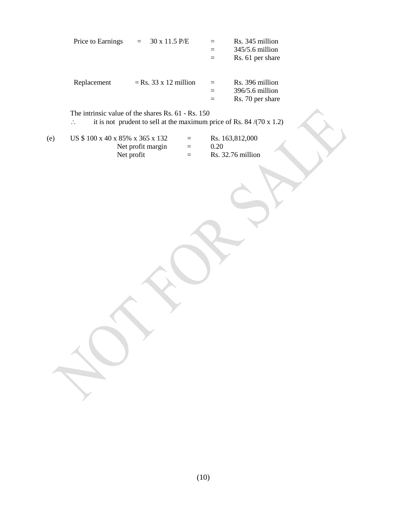|     | Price to Earnings               | 30 x 11.5 P/E<br>$\equiv$                                                                                                         |                        | $=$<br>$=$<br>$=$ | Rs. 345 million<br>345/5.6 million<br>Rs. 61 per share |  |
|-----|---------------------------------|-----------------------------------------------------------------------------------------------------------------------------------|------------------------|-------------------|--------------------------------------------------------|--|
|     | Replacement                     | $=$ Rs. 33 x 12 million                                                                                                           |                        | $=$<br>$=$<br>$=$ | Rs. 396 million<br>396/5.6 million<br>Rs. 70 per share |  |
|     | $\ddot{\cdot}$                  | The intrinsic value of the shares Rs. 61 - Rs. 150<br>it is not prudent to sell at the maximum price of Rs. 84 $/(70 \times 1.2)$ |                        |                   |                                                        |  |
| (e) | US \$100 x 40 x 85% x 365 x 132 | Net profit margin<br>Net profit                                                                                                   | $=$<br>$\equiv$<br>$=$ | 0.20              | Rs. 163,812,000<br>Rs. 32.76 million                   |  |
|     |                                 |                                                                                                                                   |                        |                   |                                                        |  |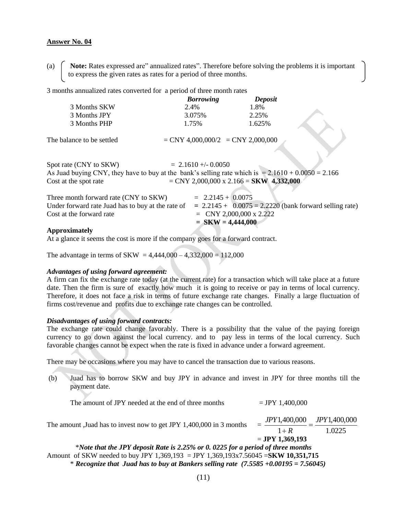(a) **Note:** Rates expressed are" annualized rates". Therefore before solving the problems it is important to express the given rates as rates for a period of three months.

3 months annualized rates converted for a period of three month rates

|                                                                                                      | <b>Borrowing</b>                          | Deposit |                                                          |
|------------------------------------------------------------------------------------------------------|-------------------------------------------|---------|----------------------------------------------------------|
| 3 Months SKW                                                                                         | 2.4%                                      | 1.8%    |                                                          |
| 3 Months JPY                                                                                         | 3.075%                                    | 2.25%   |                                                          |
| 3 Months PHP                                                                                         | 1.75%                                     | 1.625%  |                                                          |
| The balance to be settled                                                                            | $=$ CNY 4,000,000/2 $=$ CNY 2,000,000     |         |                                                          |
| Spot rate (CNY to SKW)                                                                               | $= 2.1610 + -0.0050$                      |         |                                                          |
| As Juad buying CNY, they have to buy at the bank's selling rate which is $= 2.1610 + 0.0050 = 2.166$ |                                           |         |                                                          |
| Cost at the spot rate                                                                                | $=$ CNY 2,000,000 x 2.166 = SKW 4,332,000 |         |                                                          |
| Three month forward rate (CNY to SKW)                                                                | $= 2.2145 + 0.0075$                       |         |                                                          |
| Under forward rate Juad has to buy at the rate of                                                    |                                           |         | $= 2.2145 + 0.0075 = 2.2220$ (bank forward selling rate) |
| Cost at the forward rate                                                                             | $=$ CNY 2,000,000 x 2.222                 |         |                                                          |
|                                                                                                      | $=$ SKW = 4,444,000                       |         |                                                          |
| <b>Approximately</b>                                                                                 |                                           |         |                                                          |

At a glance it seems the cost is more if the company goes for a forward contract.

The advantage in terms of SKW =  $4,444,000 - 4,332,000 = 112,000$ 

#### *Advantages of using forward agreement:*

A firm can fix the exchange rate today (at the current rate) for a transaction which will take place at a future date. Then the firm is sure of exactly how much it is going to receive or pay in terms of local currency. Therefore, it does not face a risk in terms of future exchange rate changes. Finally a large fluctuation of firms cost/revenue and profits due to exchange rate changes can be controlled.

#### *Disadvantages of using forward contracts:*

The exchange rate could change favorably. There is a possibility that the value of the paying foreign currency to go down against the local currency. and to pay less in terms of the local currency. Such favorable changes cannot be expect when the rate is fixed in advance under a forward agreement.

There may be occasions where you may have to cancel the transaction due to various reasons.

(b) Juad has to borrow SKW and buy JPY in advance and invest in JPY for three months till the payment date.

The amount of JPY needed at the end of three months  $= JPY 1,400,000$ 

The amount ,Juad has to invest now to get JPY 1,400,000 in 3 months = 1.0225 1,400,000 1 1,400,000 *JPY R*  $\frac{JPY1,400,000}{T} =$  $\ddot{}$ = **JPY 1,369,193** \**Note that the JPY deposit Rate is 2.25% or 0. 0225 for a period of three months*  Amount of SKW needed to buy JPY 1,369,193 = JPY 1,369,193x7.56045 =**SKW 10,351,715** \* *Recognize that Juad has to buy at Bankers selling rate (7.5585 +0.00195 = 7.56045)*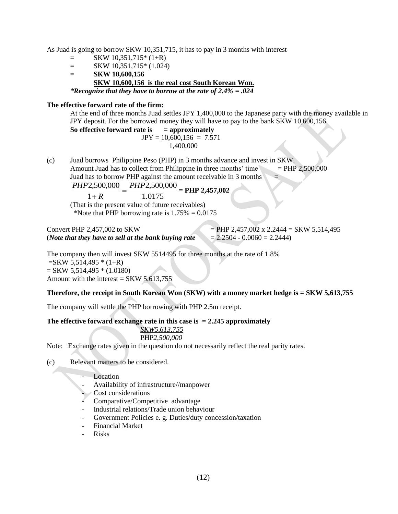As Juad is going to borrow SKW 10,351,715**,** it has to pay in 3 months with interest

- $=$  SKW 10.351.715\* (1+R)
- $=$  SKW 10,351,715\* (1.024)
- = **SKW 10,600,156 SKW 10,600,156 is the real cost South Korean Won.**

*\*Recognize that they have to borrow at the rate of 2.4% = .024*

#### **The effective forward rate of the firm:**

At the end of three months Juad settles JPY 1,400,000 to the Japanese party with the money available in JPY deposit. For the borrowed money they will have to pay to the bank SKW 10,600,156

**So effective forward rate is = approximately**   $JPY = 10,600,156 = 7.571$ 1,400,000

(c) Juad borrows Philippine Peso (PHP) in 3 months advance and invest in SKW. Amount Juad has to collect from Philippine in three months' time  $=$  PHP 2,500,000 Juad has to borrow PHP against the amount receivable in 3 months =

$$
\frac{PHP2,500,000}{PHP2,500,000} = PHP2,457,002
$$

$$
\frac{1+R}{}
$$

1.0175 (That is the present value of future receivables) \*Note that PHP borrowing rate is  $1.75\% = 0.0175$ 

#### Convert PHP 2,457,002 to SKW  $=$  PHP 2,457,002 x 2.2444 = SKW 5,514,495 (*Note that they have to sell at the bank buying rate*  $= 2.2504 - 0.0060 = 2.2444$ )

The company then will invest SKW 5514495 for three months at the rate of 1.8%  $=$ SKW 5,514,495  $*(1+R)$  $=$  SKW 5,514,495  $*(1.0180)$ Amount with the interest =  $SKW$  5,613,755

#### **Therefore, the receipt in South Korean Won (SKW) with a money market hedge is = SKW 5,613,755**

The company will settle the PHP borrowing with PHP 2.5m receipt.

#### **The effective forward exchange rate in this case is = 2.245 approximately**

*SKW5,613,755* PHP*2,500,000*

Note: Exchange rates given in the question do not necessarily reflect the real parity rates.

(c) Relevant matters to be considered.

- Location
- Availability of infrastructure//manpower
- Cost considerations
- Comparative/Competitive advantage
- Industrial relations/Trade union behaviour
- Government Policies e. g. Duties/duty concession/taxation
- Financial Market
- Risks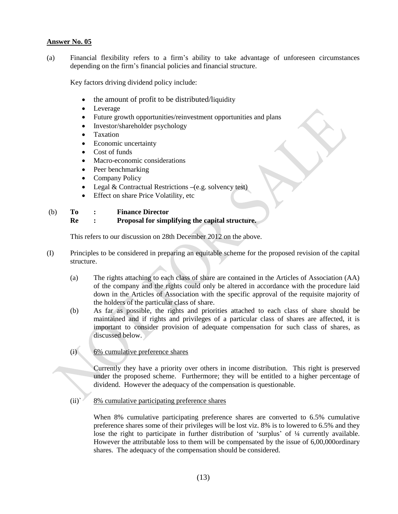(a) Financial flexibility refers to a firm"s ability to take advantage of unforeseen circumstances depending on the firm"s financial policies and financial structure.

Key factors driving dividend policy include:

- the amount of profit to be distributed/liquidity
- Leverage
- Future growth opportunities/reinvestment opportunities and plans
- Investor/shareholder psychology
- Taxation
- Economic uncertainty
- Cost of funds
- Macro-economic considerations
- Peer benchmarking
- Company Policy
- Legal & Contractual Restrictions **–**(e.g. solvency test)
- Effect on share Price Volatility, etc

#### (b) **To : Finance Director**

**Re : Proposal for simplifying the capital structure.**

This refers to our discussion on 28th December 2012 on the above.

- (I) Principles to be considered in preparing an equitable scheme for the proposed revision of the capital structure.
	- (a) The rights attaching to each class of share are contained in the Articles of Association (AA) of the company and the rights could only be altered in accordance with the procedure laid down in the Articles of Association with the specific approval of the requisite majority of the holders of the particular class of share.
	- (b) As far as possible, the rights and priorities attached to each class of share should be maintained and if rights and privileges of a particular class of shares are affected, it is important to consider provision of adequate compensation for such class of shares, as discussed below.
	- (i) 6% cumulative preference shares

Currently they have a priority over others in income distribution. This right is preserved under the proposed scheme. Furthermore; they will be entitled to a higher percentage of dividend. However the adequacy of the compensation is questionable.

(ii)` 8% cumulative participating preference shares

When 8% cumulative participating preference shares are converted to 6.5% cumulative preference shares some of their privileges will be lost viz. 8% is to lowered to 6.5% and they lose the right to participate in further distribution of 'surplus' of  $\frac{1}{4}$  currently available. However the attributable loss to them will be compensated by the issue of 6,00,000ordinary shares. The adequacy of the compensation should be considered.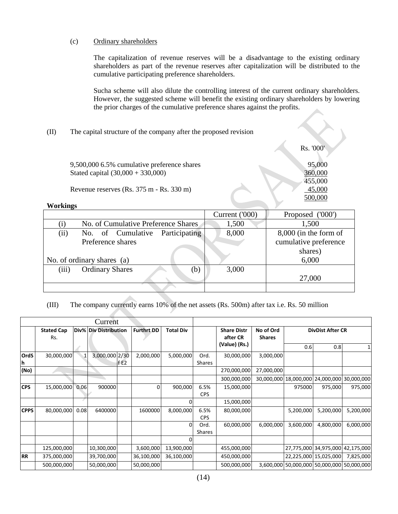#### (c) Ordinary shareholders

The capitalization of revenue reserves will be a disadvantage to the existing ordinary shareholders as part of the revenue reserves after capitalization will be distributed to the cumulative participating preference shareholders.

Sucha scheme will also dilute the controlling interest of the current ordinary shareholders. However, the suggested scheme will benefit the existing ordinary shareholders by lowering the prior charges of the cumulative preference shares against the profits.

#### (II) The capital structure of the company after the proposed revision

9,500,000 6.5% cumulative preference shares 95,000 Stated capital (30,000 + 330,000) 360,000

Revenue reserves (Rs. 375 m - Rs. 330 m) 45,000

 Rs. '000' 455,000 500,000

#### **Workings**

|                  |                                     | Current ('000) | Proposed ('000')        |  |
|------------------|-------------------------------------|----------------|-------------------------|--|
| $\left(1\right)$ | No. of Cumulative Preference Shares | 1,500          | 1,500                   |  |
| (ii)             | Participating<br>No. of Cumulative  | 8,000          | $8,000$ (in the form of |  |
|                  | Preference shares                   |                | cumulative preference   |  |
|                  |                                     | shares)        |                         |  |
|                  | No. of ordinary shares (a)          |                | 6,000                   |  |
| (iii)            | <b>Ordinary Shares</b><br>(b)       | 3,000          |                         |  |
|                  |                                     |                | 27,000                  |  |
|                  |                                     |                |                         |  |

#### (III) The company currently earns 10% of the net assets (Rs. 500m) after tax i.e. Rs. 50 million

| Current           |                          |      |                       |       |                   |                  |                       |                                |                            |                         |                                            |            |
|-------------------|--------------------------|------|-----------------------|-------|-------------------|------------------|-----------------------|--------------------------------|----------------------------|-------------------------|--------------------------------------------|------------|
|                   | <b>Stated Cap</b><br>Rs. |      | Div% Div Distribution |       | <b>Furthrt DD</b> | <b>Total Div</b> |                       | <b>Share Distr</b><br>after CR | No of Ord<br><b>Shares</b> | <b>DivDist After CR</b> |                                            |            |
|                   |                          |      |                       |       |                   |                  |                       | (Value) (Rs.)                  |                            | 0.6                     | 0.8                                        |            |
| <b>OrdS</b><br>۱h | 30,000,000               |      | 3,000,000 2/30        | lf E2 | 2,000,000         | 5,000,000        | Ord.<br>Shares        | 30,000,000                     | 3,000,000                  |                         |                                            |            |
| (No)              |                          |      |                       |       |                   |                  |                       | 270,000,000                    | 27,000,000                 |                         |                                            |            |
|                   |                          |      |                       |       |                   |                  |                       | 300,000,000                    |                            |                         | 30,000,000 18,000,000 24,000,000           | 30,000,000 |
| <b>CPS</b>        | 15,000,000 0.06          |      | 900000                |       | $\Omega$          | 900,000          | 6.5%<br><b>CPS</b>    | 15,000,000                     |                            | 975000                  | 975,000                                    | 975,000    |
|                   |                          |      |                       |       |                   |                  |                       | 15,000,000                     |                            |                         |                                            |            |
| <b>CPPS</b>       | 80,000,000               | 0.08 | 6400000               |       | 1600000           | 8,000,000        | 6.5%<br><b>CPS</b>    | 80,000,000                     |                            | 5,200,000               | 5,200,000                                  | 5,200,000  |
|                   |                          |      |                       |       |                   | 0                | Ord.<br><b>Shares</b> | 60,000,000                     | 6,000,000                  | 3,600,000               | 4,800,000                                  | 6,000,000  |
|                   |                          |      |                       |       |                   |                  |                       |                                |                            |                         |                                            |            |
|                   | 125,000,000              |      | 10,300,000            |       | 3,600,000         | 13,900,000       |                       | 455,000,000                    |                            |                         | 27,775,000 34,975,000 42,175,000           |            |
| <b>RR</b>         | 375,000,000              |      | 39,700,000            |       | 36,100,000        | 36,100,000       |                       | 450,000,000                    |                            |                         | 22,225,000 15,025,000                      | 7,825,000  |
|                   | 500,000,000              |      | 50,000,000            |       | 50,000,000        |                  |                       | 500,000,000                    |                            |                         | 3,600,000 50,000,000 50,000,000 50,000,000 |            |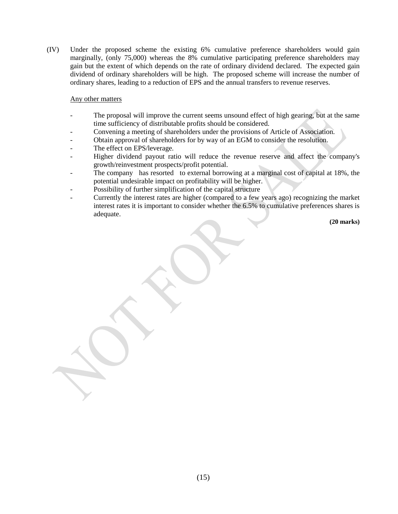(IV) Under the proposed scheme the existing 6% cumulative preference shareholders would gain marginally, (only 75,000) whereas the 8% cumulative participating preference shareholders may gain but the extent of which depends on the rate of ordinary dividend declared. The expected gain dividend of ordinary shareholders will be high. The proposed scheme will increase the number of ordinary shares, leading to a reduction of EPS and the annual transfers to revenue reserves.

#### Any other matters

- The proposal will improve the current seems unsound effect of high gearing, but at the same time sufficiency of distributable profits should be considered.
- Convening a meeting of shareholders under the provisions of Article of Association.
- Obtain approval of shareholders for by way of an EGM to consider the resolution.
- The effect on EPS/leverage.
- Higher dividend payout ratio will reduce the revenue reserve and affect the company's growth/reinvestment prospects/profit potential.
- The company has resorted to external borrowing at a marginal cost of capital at 18%, the potential undesirable impact on profitability will be higher.
- Possibility of further simplification of the capital structure
- Currently the interest rates are higher (compared to a few years ago) recognizing the market interest rates it is important to consider whether the 6.5% to cumulative preferences shares is adequate.

**(20 marks)**